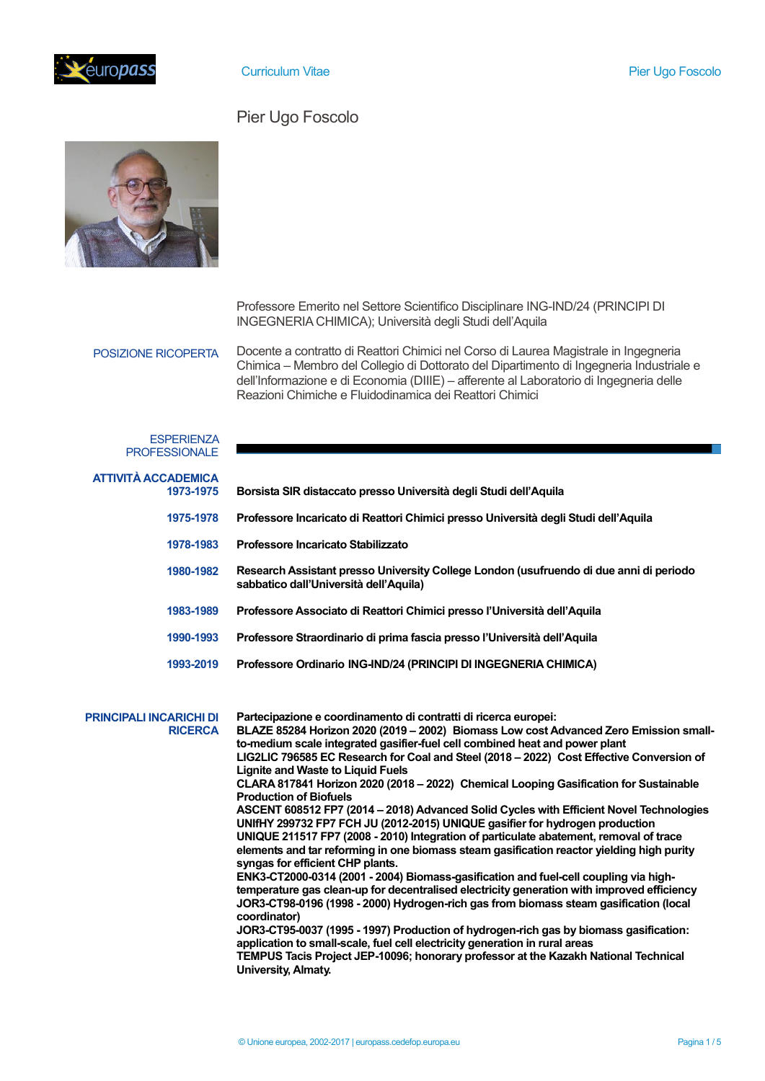

# Pier Ugo Foscolo



Professore Emerito nel Settore Scientifico Disciplinare ING-IND/24 (PRINCIPI DI INGEGNERIA CHIMICA); Università degli Studi dell'Aquila

POSIZIONE RICOPERTA

Docente a contratto di Reattori Chimici nel Corso di Laurea Magistrale in Ingegneria Chimica – Membro del Collegio di Dottorato del Dipartimento di Ingegneria Industriale e dell'Informazione e di Economia (DIIIE) – afferente al Laboratorio di Ingegneria delle Reazioni Chimiche e Fluidodinamica dei Reattori Chimici

## **ESPERIENZA** PROFESSIONALE

| <b>ATTIVITÀ ACCADEMICA</b><br>1973-1975          | Borsista SIR distaccato presso Università degli Studi dell'Aquila                                                                                                                                                                                                                                                                                                                                                                                                                                                                                                                                                                                                                                                                                                                                                                                                                                                                                                                                                                                                                                                                                                                                                                                                                                                                                                                                                                                                                                    |
|--------------------------------------------------|------------------------------------------------------------------------------------------------------------------------------------------------------------------------------------------------------------------------------------------------------------------------------------------------------------------------------------------------------------------------------------------------------------------------------------------------------------------------------------------------------------------------------------------------------------------------------------------------------------------------------------------------------------------------------------------------------------------------------------------------------------------------------------------------------------------------------------------------------------------------------------------------------------------------------------------------------------------------------------------------------------------------------------------------------------------------------------------------------------------------------------------------------------------------------------------------------------------------------------------------------------------------------------------------------------------------------------------------------------------------------------------------------------------------------------------------------------------------------------------------------|
| 1975-1978                                        | Professore Incaricato di Reattori Chimici presso Università degli Studi dell'Aquila                                                                                                                                                                                                                                                                                                                                                                                                                                                                                                                                                                                                                                                                                                                                                                                                                                                                                                                                                                                                                                                                                                                                                                                                                                                                                                                                                                                                                  |
| 1978-1983                                        | Professore Incaricato Stabilizzato                                                                                                                                                                                                                                                                                                                                                                                                                                                                                                                                                                                                                                                                                                                                                                                                                                                                                                                                                                                                                                                                                                                                                                                                                                                                                                                                                                                                                                                                   |
| 1980-1982                                        | Research Assistant presso University College London (usufruendo di due anni di periodo<br>sabbatico dall'Università dell'Aquila)                                                                                                                                                                                                                                                                                                                                                                                                                                                                                                                                                                                                                                                                                                                                                                                                                                                                                                                                                                                                                                                                                                                                                                                                                                                                                                                                                                     |
| 1983-1989                                        | Professore Associato di Reattori Chimici presso l'Università dell'Aquila                                                                                                                                                                                                                                                                                                                                                                                                                                                                                                                                                                                                                                                                                                                                                                                                                                                                                                                                                                                                                                                                                                                                                                                                                                                                                                                                                                                                                             |
| 1990-1993                                        | Professore Straordinario di prima fascia presso l'Università dell'Aquila                                                                                                                                                                                                                                                                                                                                                                                                                                                                                                                                                                                                                                                                                                                                                                                                                                                                                                                                                                                                                                                                                                                                                                                                                                                                                                                                                                                                                             |
| 1993-2019                                        | Professore Ordinario ING-IND/24 (PRINCIPI DI INGEGNERIA CHIMICA)                                                                                                                                                                                                                                                                                                                                                                                                                                                                                                                                                                                                                                                                                                                                                                                                                                                                                                                                                                                                                                                                                                                                                                                                                                                                                                                                                                                                                                     |
| <b>PRINCIPALI INCARICHI DI</b><br><b>RICERCA</b> | Partecipazione e coordinamento di contratti di ricerca europei:<br>BLAZE 85284 Horizon 2020 (2019 - 2002) Biomass Low cost Advanced Zero Emission small-<br>to-medium scale integrated gasifier-fuel cell combined heat and power plant<br>LIG2LIC 796585 EC Research for Coal and Steel (2018 - 2022) Cost Effective Conversion of<br><b>Lignite and Waste to Liquid Fuels</b><br>CLARA 817841 Horizon 2020 (2018 - 2022) Chemical Looping Gasification for Sustainable<br><b>Production of Biofuels</b><br>ASCENT 608512 FP7 (2014 - 2018) Advanced Solid Cycles with Efficient Novel Technologies<br>UNIfHY 299732 FP7 FCH JU (2012-2015) UNIQUE gasifier for hydrogen production<br>UNIQUE 211517 FP7 (2008 - 2010) Integration of particulate abatement, removal of trace<br>elements and tar reforming in one biomass steam gasification reactor yielding high purity<br>syngas for efficient CHP plants.<br>ENK3-CT2000-0314 (2001 - 2004) Biomass-gasification and fuel-cell coupling via high-<br>temperature gas clean-up for decentralised electricity generation with improved efficiency<br>JOR3-CT98-0196 (1998 - 2000) Hydrogen-rich gas from biomass steam gasification (local<br>coordinator)<br>JOR3-CT95-0037 (1995 - 1997) Production of hydrogen-rich gas by biomass gasification:<br>application to small-scale, fuel cell electricity generation in rural areas<br>TEMPUS Tacis Project JEP-10096; honorary professor at the Kazakh National Technical<br>University, Almaty. |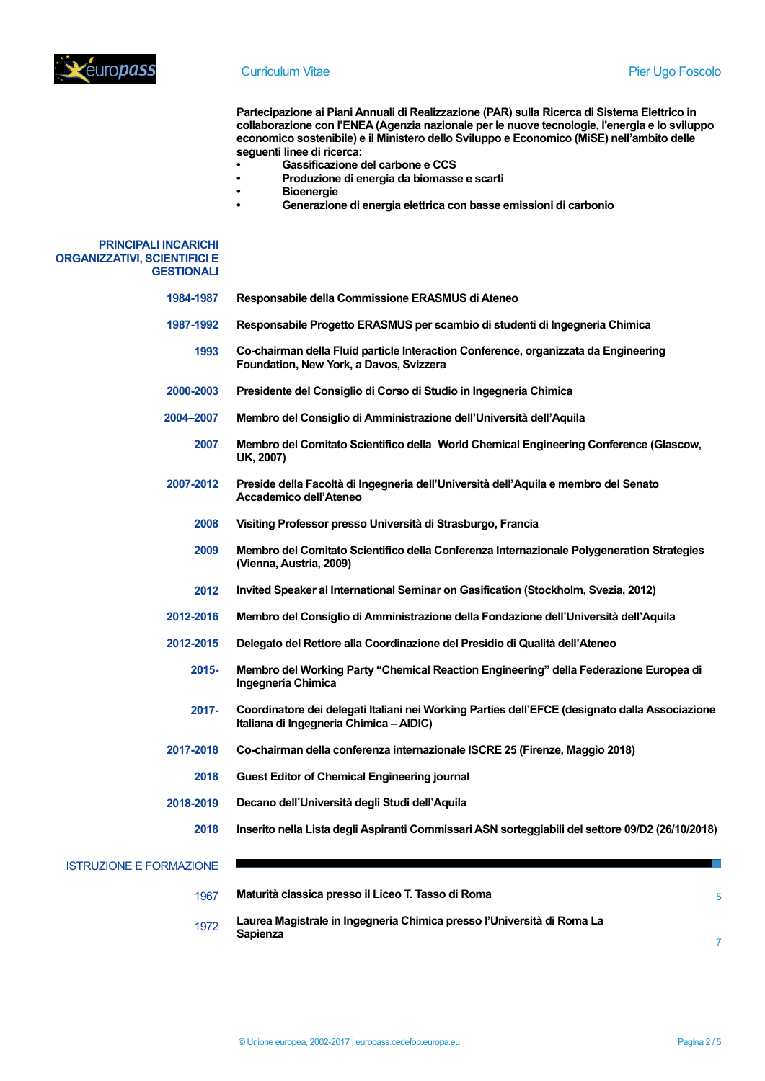

**Partecipazione ai Piani Annuali di Realizzazione (PAR) sulla Ricerca di Sistema Elettrico in collaborazione con l'ENEA (Agenzia nazionale per le nuove tecnologie, l'energia e lo sviluppo economico sostenibile) e il Ministero dello Sviluppo e Economico (MiSE) nell'ambito delle seguenti linee di ricerca:**

- **• Gassificazione del carbone e CCS**
- **• Produzione di energia da biomasse e scarti**
- **• Bioenergie**
- **• Generazione di energia elettrica con basse emissioni di carbonio**

### **PRINCIPALI INCARICHI ORGANIZZATIVI, SCIENTIFICI E GESTIONALI**

- **1984-1987 Responsabile della Commissione ERASMUS di Ateneo**
- **1987-1992 Responsabile Progetto ERASMUS per scambio di studenti di Ingegneria Chimica**
	- **1993 Co-chairman della Fluid particle Interaction Conference, organizzata da Engineering Foundation, New York, a Davos, Svizzera**
- **2000-2003 Presidente del Consiglio di Corso di Studio in Ingegneria Chimica**
- **2004–2007 Membro del Consiglio di Amministrazione dell'Università dell'Aquila**
	- **2007 Membro del Comitato Scientifico della World Chemical Engineering Conference (Glascow, UK, 2007)**
- **2007-2012 Preside della Facoltà di Ingegneria dell'Università dell'Aquila e membro del Senato Accademico dell'Ateneo**
	- **2008 Visiting Professor presso Università di Strasburgo, Francia**
	- **2009 Membro del Comitato Scientifico della Conferenza Internazionale Polygeneration Strategies (Vienna, Austria, 2009)**
	- **2012 Invited Speaker al International Seminar on Gasification (Stockholm, Svezia, 2012)**
- **2012-2016 Membro del Consiglio di Amministrazione della Fondazione dell'Università dell'Aquila**
- **2012-2015 Delegato del Rettore alla Coordinazione del Presidio di Qualità dell'Ateneo**
	- **2015- Membro del Working Party "Chemical Reaction Engineering" della Federazione Europea di Ingegneria Chimica**
	- **2017- Coordinatore dei delegati Italiani nei Working Parties dell'EFCE (designato dalla Associazione Italiana di Ingegneria Chimica – AIDIC)**
- **2017-2018 Co-chairman della conferenza internazionale ISCRE 25 (Firenze, Maggio 2018)**
	- **2018 Guest Editor of Chemical Engineering journal**
- **2018-2019 Decano dell'Università degli Studi dell'Aquila**
	- **2018 Inserito nella Lista degli Aspiranti Commissari ASN sorteggiabili del settore 09/D2 (26/10/2018)**

### ISTRUZIONE E FORMAZIONE

1067 1972 **Maturità classica presso il Liceo T. Tasso di Roma Laurea Magistrale in Ingegneria Chimica presso l'Università di Roma La Sapienza**

5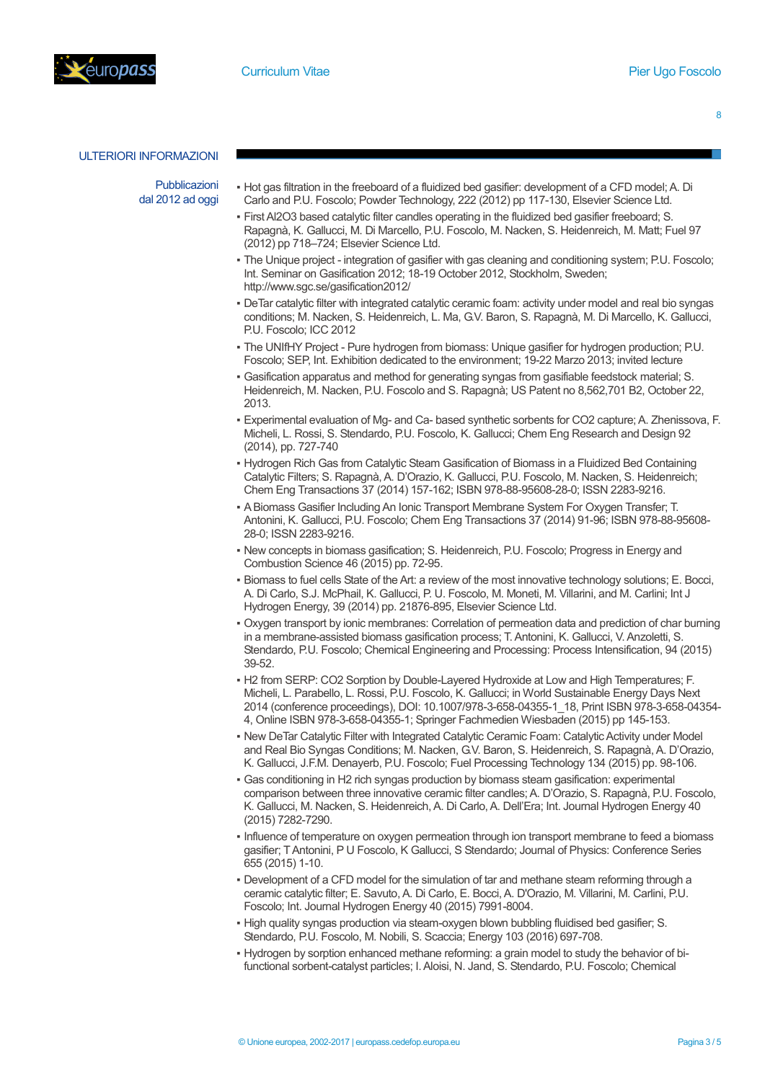

8

### ULTERIORI INFORMAZIONI

Pubblicazioni dal 2012 ad oggi

- Hot gas filtration in the freeboard of a fluidized bed gasifier: development of a CFD model; A. Di Carlo and P.U. Foscolo; Powder Technology, 222 (2012) pp 117-130, Elsevier Science Ltd.
- First Al2O3 based catalytic filter candles operating in the fluidized bed gasifier freeboard; S. Rapagnà, K. Gallucci, M. Di Marcello, P.U. Foscolo, M. Nacken, S. Heidenreich, M. Matt; Fuel 97 (2012) pp 718–724; Elsevier Science Ltd.
- The Unique project integration of gasifier with gas cleaning and conditioning system; P.U. Foscolo; Int. Seminar on Gasification 2012; 18-19 October 2012, Stockholm, Sweden; http://www.sgc.se/gasification2012/
- DeTar catalytic filter with integrated catalytic ceramic foam: activity under model and real bio syngas conditions; M. Nacken, S. Heidenreich, L. Ma, G.V. Baron, S. Rapagnà, M. Di Marcello, K. Gallucci, P.U. Foscolo; ICC 2012
- The UNIfHY Project Pure hydrogen from biomass: Unique gasifier for hydrogen production; P.U. Foscolo; SEP, Int. Exhibition dedicated to the environment; 19-22 Marzo 2013; invited lecture
- Gasification apparatus and method for generating syngas from gasifiable feedstock material; S. Heidenreich, M. Nacken, P.U. Foscolo and S. Rapagnà; US Patent no 8,562,701 B2, October 22, 2013.
- Experimental evaluation of Mg- and Ca- based synthetic sorbents for CO2 capture; A. Zhenissova, F. Micheli, L. Rossi, S. Stendardo, P.U. Foscolo, K. Gallucci; Chem Eng Research and Design 92 (2014), pp. 727-740
- Hydrogen Rich Gas from Catalytic Steam Gasification of Biomass in a Fluidized Bed Containing Catalytic Filters; S. Rapagnà, A. D'Orazio, K. Gallucci, P.U. Foscolo, M. Nacken, S. Heidenreich; Chem Eng Transactions 37 (2014) 157-162; ISBN 978-88-95608-28-0; ISSN 2283-9216.
- A Biomass Gasifier Including An Ionic Transport Membrane System For Oxygen Transfer; T. Antonini, K. Gallucci, P.U. Foscolo; Chem Eng Transactions 37 (2014) 91-96; ISBN 978-88-95608- 28-0; ISSN 2283-9216.
- New concepts in biomass gasification; S. Heidenreich, P.U. Foscolo; Progress in Energy and Combustion Science 46 (2015) pp. 72-95.
- Biomass to fuel cells State of the Art: a review of the most innovative technology solutions; E. Bocci, A. Di Carlo, S.J. McPhail, K. Gallucci, P. U. Foscolo, M. Moneti, M. Villarini, and M. Carlini; Int J Hydrogen Energy, 39 (2014) pp. 21876-895, Elsevier Science Ltd.
- Oxygen transport by ionic membranes: Correlation of permeation data and prediction of char burning in a membrane-assisted biomass gasification process; T. Antonini, K. Gallucci, V. Anzoletti, S. Stendardo, P.U. Foscolo; Chemical Engineering and Processing: Process Intensification, 94 (2015) 39-52.
- . H2 from SERP: CO2 Sorption by Double-Layered Hydroxide at Low and High Temperatures; F. Micheli, L. Parabello, L. Rossi, P.U. Foscolo, K. Gallucci; in World Sustainable Energy Days Next 2014 (conference proceedings), DOI: 10.1007/978-3-658-04355-1\_18, Print ISBN 978-3-658-04354- 4, Online ISBN 978-3-658-04355-1; Springer Fachmedien Wiesbaden (2015) pp 145-153.
- . New DeTar Catalytic Filter with Integrated Catalytic Ceramic Foam: Catalytic Activity under Model and Real Bio Syngas Conditions; M. Nacken, G.V. Baron, S. Heidenreich, S. Rapagnà, A. D'Orazio, K. Gallucci, J.F.M. Denayerb, P.U. Foscolo; Fuel Processing Technology 134 (2015) pp. 98-106.
- Gas conditioning in H2 rich syngas production by biomass steam gasification: experimental comparison between three innovative ceramic filter candles; A. D'Orazio, S. Rapagnà, P.U. Foscolo, K. Gallucci, M. Nacken, S. Heidenreich, A. Di Carlo, A. Dell'Era; Int. Journal Hydrogen Energy 40 (2015) 7282-7290.
- Influence of temperature on oxygen permeation through ion transport membrane to feed a biomass gasifier; T Antonini, P U Foscolo, K Gallucci, S Stendardo; Journal of Physics: Conference Series 655 (2015) 1-10.
- Development of a CFD model for the simulation of tar and methane steam reforming through a ceramic catalytic filter; E. Savuto, A. Di Carlo, E. Bocci, A. D'Orazio, M. Villarini, M. Carlini, P.U. Foscolo; Int. Journal Hydrogen Energy 40 (2015) 7991-8004.
- High quality syngas production via steam-oxygen blown bubbling fluidised bed gasifier; S. Stendardo, P.U. Foscolo, M. Nobili, S. Scaccia; Energy 103 (2016) 697-708.
- Hydrogen by sorption enhanced methane reforming: a grain model to study the behavior of bifunctional sorbent-catalyst particles; I. Aloisi, N. Jand, S. Stendardo, P.U. Foscolo; Chemical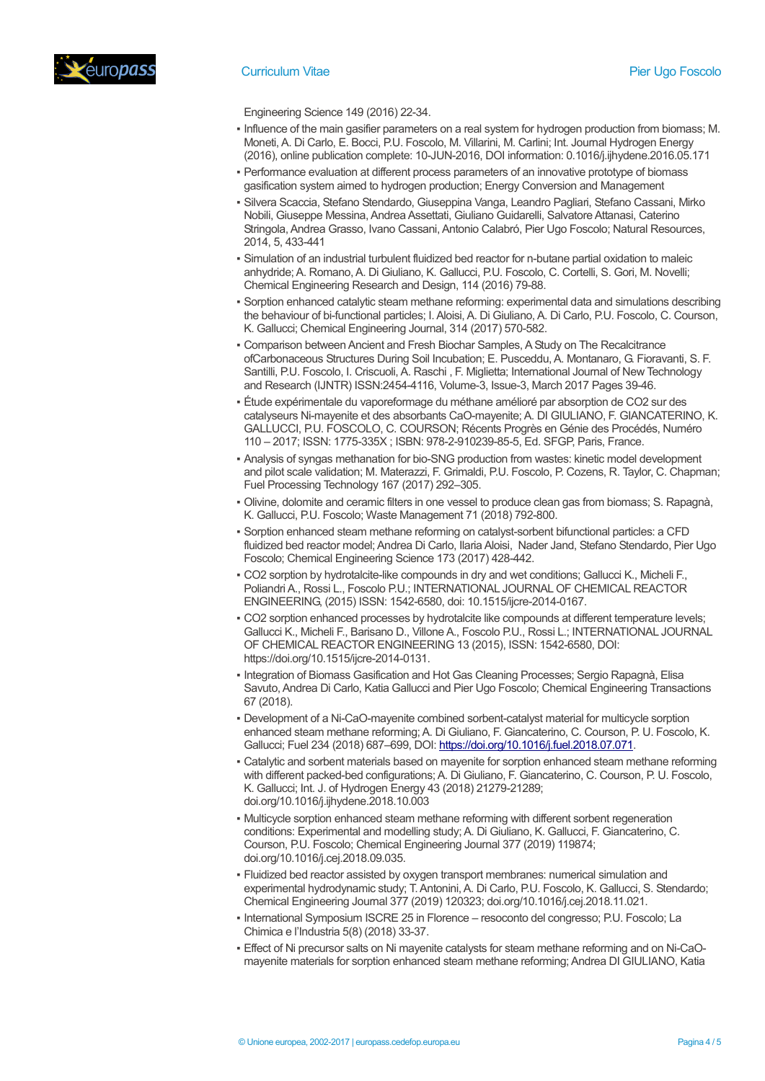

- Engineering Science 149 (2016) 22-34.
- Influence of the main gasifier parameters on a real system for hydrogen production from biomass; M. Moneti, A. Di Carlo, E. Bocci, P.U. Foscolo, M. Villarini, M. Carlini; Int. Journal Hydrogen Energy (2016), online publication complete: 10-JUN-2016, DOI information: 0.1016/j.ijhydene.2016.05.171
- Performance evaluation at different process parameters of an innovative prototype of biomass gasification system aimed to hydrogen production; Energy Conversion and Management
- Silvera Scaccia, Stefano Stendardo, Giuseppina Vanga, Leandro Pagliari, Stefano Cassani, Mirko Nobili, Giuseppe Messina, Andrea Assettati, Giuliano Guidarelli, Salvatore Attanasi, Caterino Stringola, Andrea Grasso, Ivano Cassani, Antonio Calabró, Pier Ugo Foscolo; Natural Resources, 2014, 5, 433-441
- Simulation of an industrial turbulent fluidized bed reactor for n-butane partial oxidation to maleic anhydride; A. Romano, A. Di Giuliano, K. Gallucci, P.U. Foscolo, C. Cortelli, S. Gori, M. Novelli; Chemical Engineering Research and Design, 114 (2016) 79-88.
- Sorption enhanced catalytic steam methane reforming: experimental data and simulations describing the behaviour of bi-functional particles; I. Aloisi, A. Di Giuliano, A. Di Carlo, P.U. Foscolo, C. Courson, K. Gallucci; Chemical Engineering Journal, 314 (2017) 570-582.
- Comparison between Ancient and Fresh Biochar Samples, A Study on The Recalcitrance ofCarbonaceous Structures During Soil Incubation; E. Pusceddu, A. Montanaro, G. Fioravanti, S. F. Santilli, P.U. Foscolo, I. Criscuoli, A. Raschi , F. Miglietta; International Journal of New Technology and Research (IJNTR) ISSN:2454-4116, Volume-3, Issue-3, March 2017 Pages 39-46.
- Étude expérimentale du vaporeformage du méthane amélioré par absorption de CO2 sur des catalyseurs Ni-mayenite et des absorbants CaO-mayenite; A. DI GIULIANO, F. GIANCATERINO, K. GALLUCCI, P.U. FOSCOLO, C. COURSON; Récents Progrès en Génie des Procédés, Numéro 110 – 2017; ISSN: 1775-335X ; ISBN: 978-2-910239-85-5, Ed. SFGP, Paris, France.
- Analysis of syngas methanation for bio-SNG production from wastes: kinetic model development and pilot scale validation; M. Materazzi, F. Grimaldi, P.U. Foscolo, P. Cozens, R. Taylor, C. Chapman; Fuel Processing Technology 167 (2017) 292–305.
- Olivine, dolomite and ceramic filters in one vessel to produce clean gas from biomass; S. Rapagnà, K. Gallucci, P.U. Foscolo; Waste Management 71 (2018) 792-800.
- Sorption enhanced steam methane reforming on catalyst-sorbent bifunctional particles: a CFD fluidized bed reactor model; Andrea Di Carlo, Ilaria Aloisi, Nader Jand, Stefano Stendardo, Pier Ugo Foscolo; Chemical Engineering Science 173 (2017) 428-442.
- CO2 sorption by hydrotalcite-like compounds in dry and wet conditions; Gallucci K., Micheli F., Poliandri A., Rossi L., Foscolo P.U.; INTERNATIONAL JOURNAL OF CHEMICAL REACTOR ENGINEERING, (2015) ISSN: 1542-6580, doi: 10.1515/ijcre-2014-0167.
- CO2 sorption enhanced processes by hydrotalcite like compounds at different temperature levels; Gallucci K., Micheli F., Barisano D., Villone A., Foscolo P.U., Rossi L.; INTERNATIONAL JOURNAL OF CHEMICAL REACTOR ENGINEERING 13 (2015), ISSN: 1542-6580, DOI: https://doi.org/10.1515/ijcre-2014-0131.
- Integration of Biomass Gasification and Hot Gas Cleaning Processes; Sergio Rapagnà, Elisa Savuto, Andrea Di Carlo, Katia Gallucci and Pier Ugo Foscolo; Chemical Engineering Transactions 67 (2018).
- Development of a Ni-CaO-mayenite combined sorbent-catalyst material for multicycle sorption enhanced steam methane reforming; A. Di Giuliano, F. Giancaterino, C. Courson, P. U. Foscolo, K. Gallucci; Fuel 234 (2018) 687–699, DOI: [https://doi.org/10.1016/j.fuel.2018.07.071.](https://doi.org/10.1016/j.fuel.2018.07.071)
- Catalytic and sorbent materials based on mayenite for sorption enhanced steam methane reforming with different packed-bed configurations; A. Di Giuliano, F. Giancaterino, C. Courson, P. U. Foscolo, K. Gallucci; Int. J. of Hydrogen Energy 43 (2018) 21279-21289; doi.org/10.1016/j.ijhydene.2018.10.003
- Multicycle sorption enhanced steam methane reforming with different sorbent regeneration conditions: Experimental and modelling study; A. Di Giuliano, K. Gallucci, F. Giancaterino, C. Courson, P.U. Foscolo; Chemical Engineering Journal 377 (2019) 119874; doi.org/10.1016/j.cej.2018.09.035.
- Fluidized bed reactor assisted by oxygen transport membranes: numerical simulation and experimental hydrodynamic study; T. Antonini, A. Di Carlo, P.U. Foscolo, K. Gallucci, S. Stendardo; Chemical Engineering Journal 377 (2019) 120323; doi.org/10.1016/j.cej.2018.11.021.
- International Symposium ISCRE 25 in Florence resoconto del congresso; P.U. Foscolo; La Chimica e l'Industria 5(8) (2018) 33-37.
- Effect of Ni precursor salts on Ni mayenite catalysts for steam methane reforming and on Ni-CaOmayenite materials for sorption enhanced steam methane reforming; Andrea DI GIULIANO, Katia